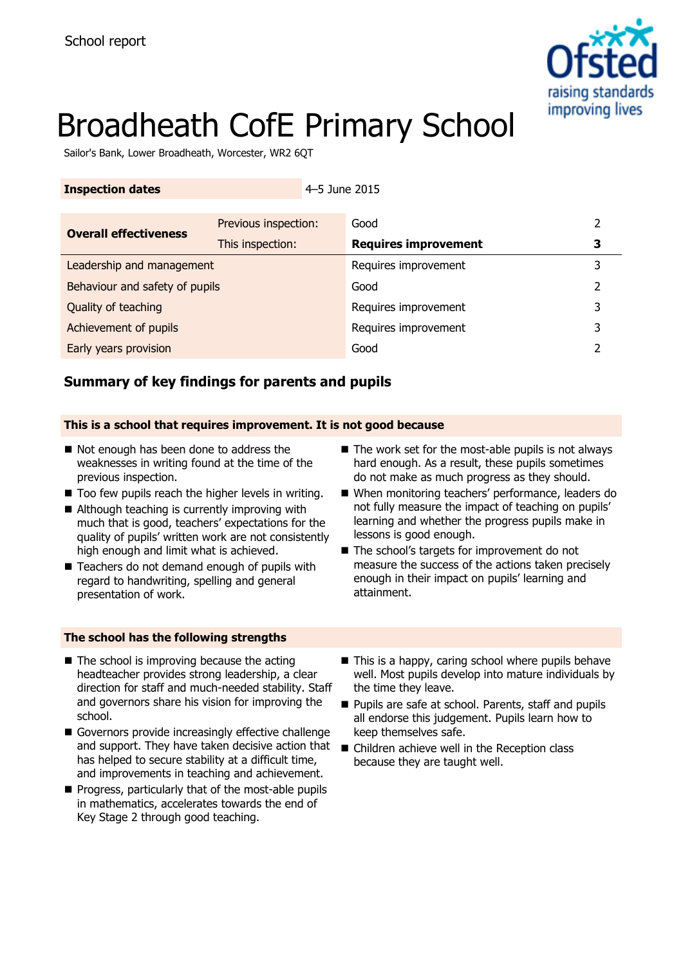

# Broadheath CofE Primary School

Sailor's Bank, Lower Broadheath, Worcester, WR2 6QT

### **Inspection dates 11.1 12.1 12.1 12.1 12.1 12.1 12.1 12.1 12.1 12.1 12.1 12.1 12.1 12.1 12.1 12.1 12.1 12.1 12.1 12.1 12.1 12.1 12.1 12.1 12.1 12.1 12.1 12.1 12.1**

|                                | Previous inspection: | Good                        |   |
|--------------------------------|----------------------|-----------------------------|---|
| <b>Overall effectiveness</b>   | This inspection:     | <b>Requires improvement</b> |   |
| Leadership and management      |                      | Requires improvement        | 3 |
| Behaviour and safety of pupils |                      | Good                        |   |
| Quality of teaching            |                      | Requires improvement        |   |
| Achievement of pupils          |                      | Requires improvement        | 3 |
| Early years provision          |                      | Good                        |   |

# **Summary of key findings for parents and pupils**

## **This is a school that requires improvement. It is not good because**

- Not enough has been done to address the weaknesses in writing found at the time of the previous inspection.
- Too few pupils reach the higher levels in writing.
- Although teaching is currently improving with much that is good, teachers' expectations for the quality of pupils' written work are not consistently high enough and limit what is achieved.
- Teachers do not demand enough of pupils with regard to handwriting, spelling and general presentation of work.
- $\blacksquare$  The work set for the most-able pupils is not always hard enough. As a result, these pupils sometimes do not make as much progress as they should.
- When monitoring teachers' performance, leaders do not fully measure the impact of teaching on pupils' learning and whether the progress pupils make in lessons is good enough.
- The school's targets for improvement do not measure the success of the actions taken precisely enough in their impact on pupils' learning and attainment.

# **The school has the following strengths**

- $\blacksquare$  The school is improving because the acting headteacher provides strong leadership, a clear direction for staff and much-needed stability. Staff and governors share his vision for improving the school.
- Governors provide increasingly effective challenge and support. They have taken decisive action that has helped to secure stability at a difficult time, and improvements in teaching and achievement.
- Progress, particularly that of the most-able pupils in mathematics, accelerates towards the end of Key Stage 2 through good teaching.
- This is a happy, caring school where pupils behave well. Most pupils develop into mature individuals by the time they leave.
- Pupils are safe at school. Parents, staff and pupils all endorse this judgement. Pupils learn how to keep themselves safe.
- Children achieve well in the Reception class because they are taught well.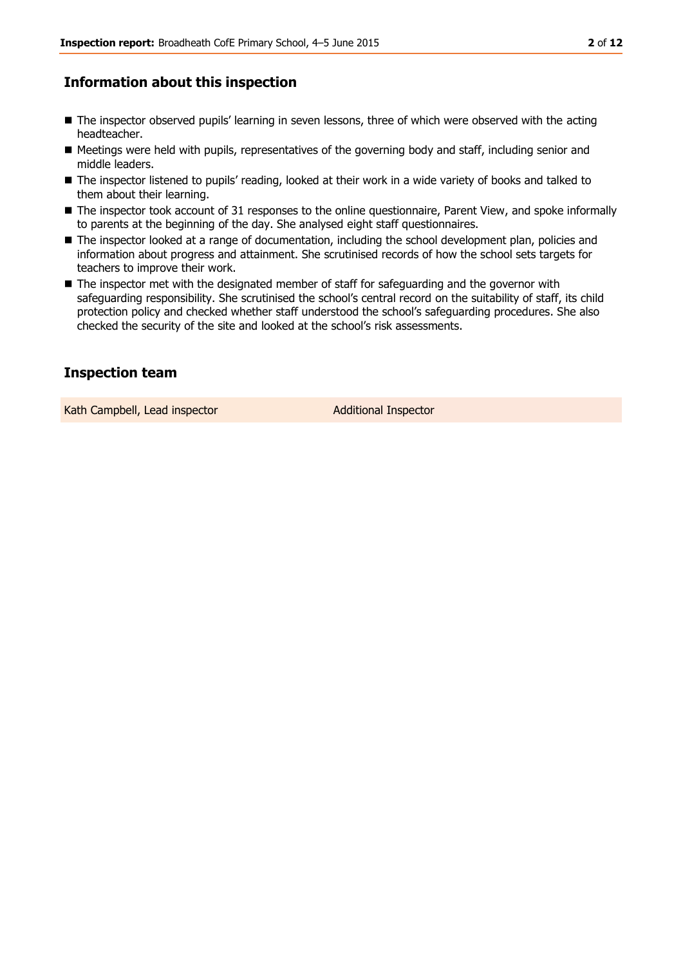# **Information about this inspection**

- $\blacksquare$  The inspector observed pupils' learning in seven lessons, three of which were observed with the acting headteacher.
- Meetings were held with pupils, representatives of the governing body and staff, including senior and middle leaders.
- The inspector listened to pupils' reading, looked at their work in a wide variety of books and talked to them about their learning.
- The inspector took account of 31 responses to the online questionnaire, Parent View, and spoke informally to parents at the beginning of the day. She analysed eight staff questionnaires.
- The inspector looked at a range of documentation, including the school development plan, policies and information about progress and attainment. She scrutinised records of how the school sets targets for teachers to improve their work.
- The inspector met with the designated member of staff for safeguarding and the governor with safeguarding responsibility. She scrutinised the school's central record on the suitability of staff, its child protection policy and checked whether staff understood the school's safeguarding procedures. She also checked the security of the site and looked at the school's risk assessments.

# **Inspection team**

Kath Campbell, Lead inspector Additional Inspector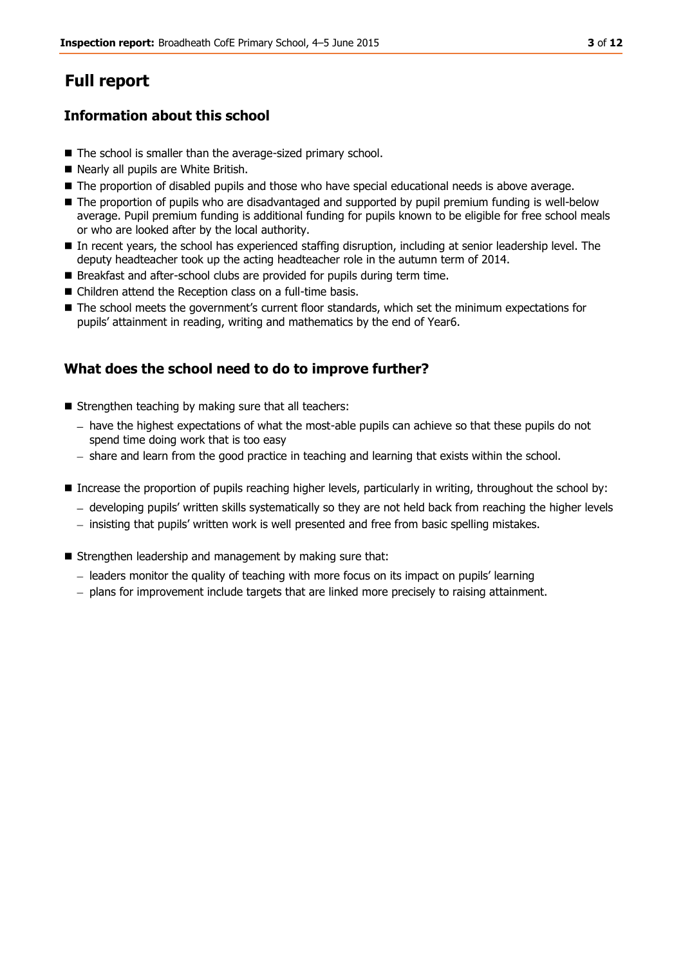# **Full report**

# **Information about this school**

- The school is smaller than the average-sized primary school.
- Nearly all pupils are White British.
- $\blacksquare$  The proportion of disabled pupils and those who have special educational needs is above average.
- The proportion of pupils who are disadvantaged and supported by pupil premium funding is well-below average. Pupil premium funding is additional funding for pupils known to be eligible for free school meals or who are looked after by the local authority.
- In recent years, the school has experienced staffing disruption, including at senior leadership level. The deputy headteacher took up the acting headteacher role in the autumn term of 2014.
- Breakfast and after-school clubs are provided for pupils during term time.
- Children attend the Reception class on a full-time basis.
- $\blacksquare$  The school meets the government's current floor standards, which set the minimum expectations for pupils' attainment in reading, writing and mathematics by the end of Year6.

# **What does the school need to do to improve further?**

- Strengthen teaching by making sure that all teachers:
	- $h$  have the highest expectations of what the most-able pupils can achieve so that these pupils do not spend time doing work that is too easy
	- share and learn from the good practice in teaching and learning that exists within the school.
- Increase the proportion of pupils reaching higher levels, particularly in writing, throughout the school by:
	- developing pupils' written skills systematically so they are not held back from reaching the higher levels
	- $-$  insisting that pupils' written work is well presented and free from basic spelling mistakes.
- Strengthen leadership and management by making sure that:
	- leaders monitor the quality of teaching with more focus on its impact on pupils' learning
	- $-$  plans for improvement include targets that are linked more precisely to raising attainment.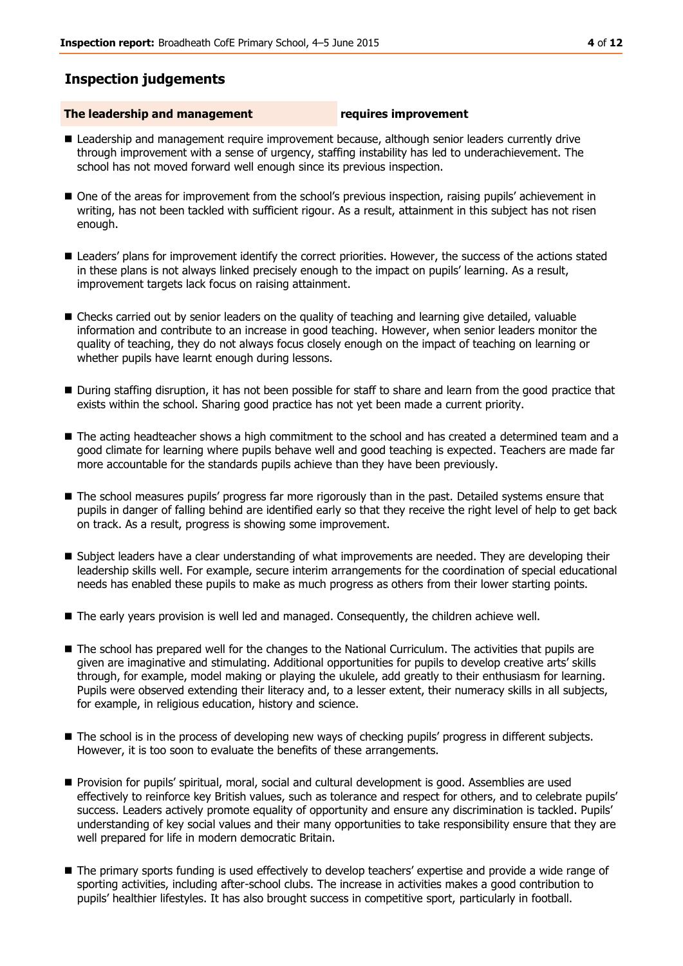# **Inspection judgements**

### **The leadership and management requires improvement**

- **Leadership and management require improvement because, although senior leaders currently drive** through improvement with a sense of urgency, staffing instability has led to underachievement. The school has not moved forward well enough since its previous inspection.
- One of the areas for improvement from the school's previous inspection, raising pupils' achievement in writing, has not been tackled with sufficient rigour. As a result, attainment in this subject has not risen enough.
- **Leaders' plans for improvement identify the correct priorities. However, the success of the actions stated** in these plans is not always linked precisely enough to the impact on pupils' learning. As a result, improvement targets lack focus on raising attainment.
- Checks carried out by senior leaders on the quality of teaching and learning give detailed, valuable information and contribute to an increase in good teaching. However, when senior leaders monitor the quality of teaching, they do not always focus closely enough on the impact of teaching on learning or whether pupils have learnt enough during lessons.
- During staffing disruption, it has not been possible for staff to share and learn from the good practice that exists within the school. Sharing good practice has not yet been made a current priority.
- The acting headteacher shows a high commitment to the school and has created a determined team and a good climate for learning where pupils behave well and good teaching is expected. Teachers are made far more accountable for the standards pupils achieve than they have been previously.
- **The school measures pupils' progress far more rigorously than in the past. Detailed systems ensure that** pupils in danger of falling behind are identified early so that they receive the right level of help to get back on track. As a result, progress is showing some improvement.
- Subject leaders have a clear understanding of what improvements are needed. They are developing their leadership skills well. For example, secure interim arrangements for the coordination of special educational needs has enabled these pupils to make as much progress as others from their lower starting points.
- The early years provision is well led and managed. Consequently, the children achieve well.
- The school has prepared well for the changes to the National Curriculum. The activities that pupils are given are imaginative and stimulating. Additional opportunities for pupils to develop creative arts' skills through, for example, model making or playing the ukulele, add greatly to their enthusiasm for learning. Pupils were observed extending their literacy and, to a lesser extent, their numeracy skills in all subjects, for example, in religious education, history and science.
- The school is in the process of developing new ways of checking pupils' progress in different subjects. However, it is too soon to evaluate the benefits of these arrangements.
- Provision for pupils' spiritual, moral, social and cultural development is good. Assemblies are used effectively to reinforce key British values, such as tolerance and respect for others, and to celebrate pupils' success. Leaders actively promote equality of opportunity and ensure any discrimination is tackled. Pupils' understanding of key social values and their many opportunities to take responsibility ensure that they are well prepared for life in modern democratic Britain.
- The primary sports funding is used effectively to develop teachers' expertise and provide a wide range of sporting activities, including after-school clubs. The increase in activities makes a good contribution to pupils' healthier lifestyles. It has also brought success in competitive sport, particularly in football.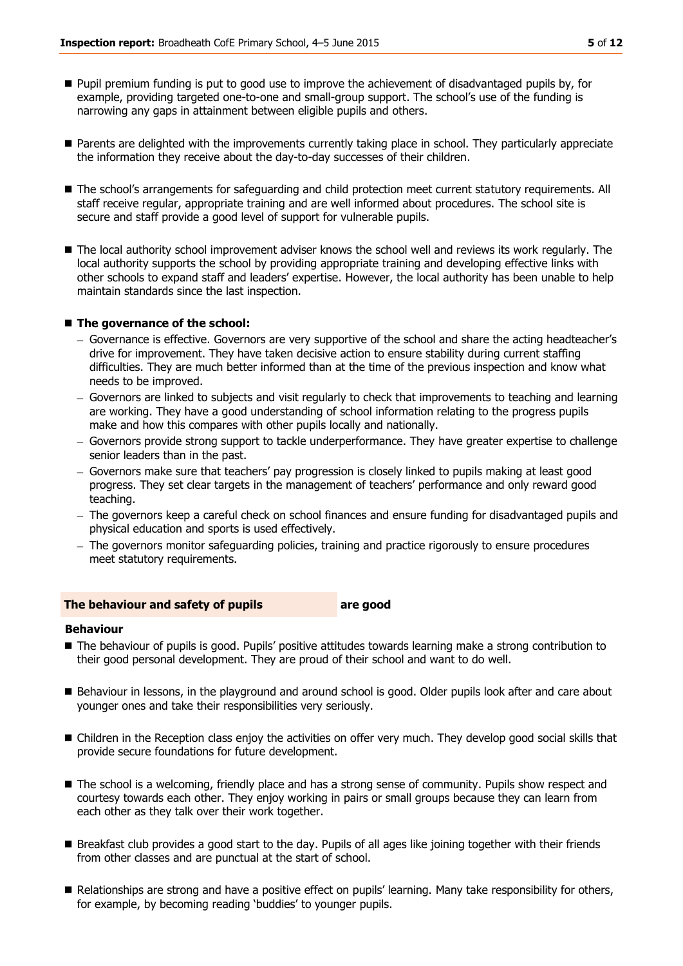- Pupil premium funding is put to good use to improve the achievement of disadvantaged pupils by, for example, providing targeted one-to-one and small-group support. The school's use of the funding is narrowing any gaps in attainment between eligible pupils and others.
- Parents are delighted with the improvements currently taking place in school. They particularly appreciate the information they receive about the day-to-day successes of their children.
- The school's arrangements for safeguarding and child protection meet current statutory requirements. All staff receive regular, appropriate training and are well informed about procedures. The school site is secure and staff provide a good level of support for vulnerable pupils.
- The local authority school improvement adviser knows the school well and reviews its work regularly. The local authority supports the school by providing appropriate training and developing effective links with other schools to expand staff and leaders' expertise. However, the local authority has been unable to help maintain standards since the last inspection.

### ■ The governance of the school:

- Governance is effective. Governors are very supportive of the school and share the acting headteacher's drive for improvement. They have taken decisive action to ensure stability during current staffing difficulties. They are much better informed than at the time of the previous inspection and know what needs to be improved.
- Governors are linked to subjects and visit regularly to check that improvements to teaching and learning are working. They have a good understanding of school information relating to the progress pupils make and how this compares with other pupils locally and nationally.
- Governors provide strong support to tackle underperformance. They have greater expertise to challenge senior leaders than in the past.
- Governors make sure that teachers' pay progression is closely linked to pupils making at least good progress. They set clear targets in the management of teachers' performance and only reward good teaching.
- The governors keep a careful check on school finances and ensure funding for disadvantaged pupils and physical education and sports is used effectively.
- The governors monitor safeguarding policies, training and practice rigorously to ensure procedures meet statutory requirements.

### **The behaviour and safety of pupils are good**

### **Behaviour**

- The behaviour of pupils is good. Pupils' positive attitudes towards learning make a strong contribution to their good personal development. They are proud of their school and want to do well.
- Behaviour in lessons, in the playground and around school is good. Older pupils look after and care about younger ones and take their responsibilities very seriously.
- Children in the Reception class enjoy the activities on offer very much. They develop good social skills that provide secure foundations for future development.
- The school is a welcoming, friendly place and has a strong sense of community. Pupils show respect and courtesy towards each other. They enjoy working in pairs or small groups because they can learn from each other as they talk over their work together.
- Breakfast club provides a good start to the day. Pupils of all ages like joining together with their friends from other classes and are punctual at the start of school.
- Relationships are strong and have a positive effect on pupils' learning. Many take responsibility for others, for example, by becoming reading 'buddies' to younger pupils.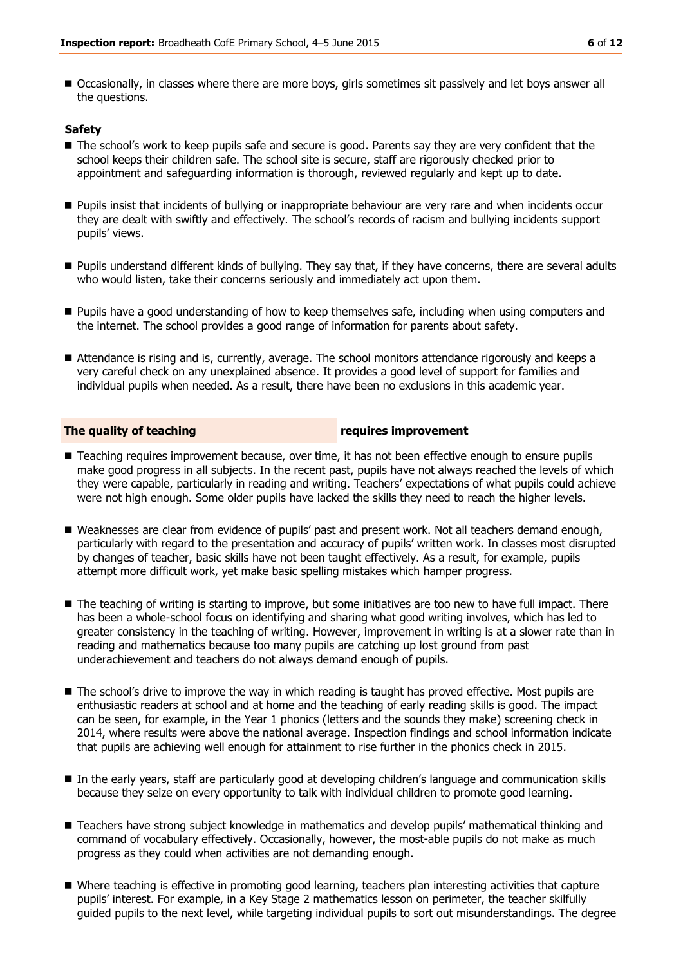Occasionally, in classes where there are more boys, girls sometimes sit passively and let boys answer all the questions.

### **Safety**

- The school's work to keep pupils safe and secure is good. Parents say they are very confident that the school keeps their children safe. The school site is secure, staff are rigorously checked prior to appointment and safeguarding information is thorough, reviewed regularly and kept up to date.
- Pupils insist that incidents of bullying or inappropriate behaviour are very rare and when incidents occur they are dealt with swiftly and effectively. The school's records of racism and bullying incidents support pupils' views.
- Pupils understand different kinds of bullying. They say that, if they have concerns, there are several adults who would listen, take their concerns seriously and immediately act upon them.
- **Pupils have a good understanding of how to keep themselves safe, including when using computers and** the internet. The school provides a good range of information for parents about safety.
- Attendance is rising and is, currently, average. The school monitors attendance rigorously and keeps a very careful check on any unexplained absence. It provides a good level of support for families and individual pupils when needed. As a result, there have been no exclusions in this academic year.

### **The quality of teaching requires improvement**

- Teaching requires improvement because, over time, it has not been effective enough to ensure pupils make good progress in all subjects. In the recent past, pupils have not always reached the levels of which they were capable, particularly in reading and writing. Teachers' expectations of what pupils could achieve were not high enough. Some older pupils have lacked the skills they need to reach the higher levels.
- Weaknesses are clear from evidence of pupils' past and present work. Not all teachers demand enough, particularly with regard to the presentation and accuracy of pupils' written work. In classes most disrupted by changes of teacher, basic skills have not been taught effectively. As a result, for example, pupils attempt more difficult work, yet make basic spelling mistakes which hamper progress.
- The teaching of writing is starting to improve, but some initiatives are too new to have full impact. There has been a whole-school focus on identifying and sharing what good writing involves, which has led to greater consistency in the teaching of writing. However, improvement in writing is at a slower rate than in reading and mathematics because too many pupils are catching up lost ground from past underachievement and teachers do not always demand enough of pupils.
- The school's drive to improve the way in which reading is taught has proved effective. Most pupils are enthusiastic readers at school and at home and the teaching of early reading skills is good. The impact can be seen, for example, in the Year 1 phonics (letters and the sounds they make) screening check in 2014, where results were above the national average. Inspection findings and school information indicate that pupils are achieving well enough for attainment to rise further in the phonics check in 2015.
- In the early years, staff are particularly good at developing children's language and communication skills because they seize on every opportunity to talk with individual children to promote good learning.
- Teachers have strong subject knowledge in mathematics and develop pupils' mathematical thinking and command of vocabulary effectively. Occasionally, however, the most-able pupils do not make as much progress as they could when activities are not demanding enough.
- Where teaching is effective in promoting good learning, teachers plan interesting activities that capture pupils' interest. For example, in a Key Stage 2 mathematics lesson on perimeter, the teacher skilfully guided pupils to the next level, while targeting individual pupils to sort out misunderstandings. The degree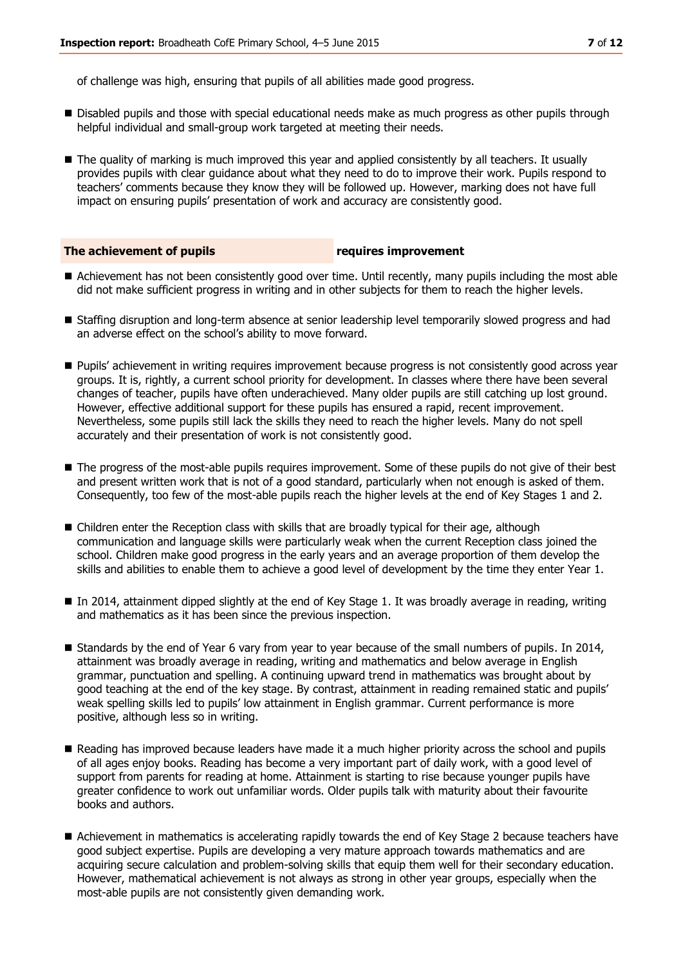of challenge was high, ensuring that pupils of all abilities made good progress.

- **Disabled pupils and those with special educational needs make as much progress as other pupils through** helpful individual and small-group work targeted at meeting their needs.
- The quality of marking is much improved this year and applied consistently by all teachers. It usually provides pupils with clear guidance about what they need to do to improve their work. Pupils respond to teachers' comments because they know they will be followed up. However, marking does not have full impact on ensuring pupils' presentation of work and accuracy are consistently good.

### **The achievement of pupils requires improvement**

- Achievement has not been consistently good over time. Until recently, many pupils including the most able did not make sufficient progress in writing and in other subjects for them to reach the higher levels.
- Staffing disruption and long-term absence at senior leadership level temporarily slowed progress and had an adverse effect on the school's ability to move forward.
- **Pupils' achievement in writing requires improvement because progress is not consistently good across year** groups. It is, rightly, a current school priority for development. In classes where there have been several changes of teacher, pupils have often underachieved. Many older pupils are still catching up lost ground. However, effective additional support for these pupils has ensured a rapid, recent improvement. Nevertheless, some pupils still lack the skills they need to reach the higher levels. Many do not spell accurately and their presentation of work is not consistently good.
- The progress of the most-able pupils requires improvement. Some of these pupils do not give of their best and present written work that is not of a good standard, particularly when not enough is asked of them. Consequently, too few of the most-able pupils reach the higher levels at the end of Key Stages 1 and 2.
- Children enter the Reception class with skills that are broadly typical for their age, although communication and language skills were particularly weak when the current Reception class joined the school. Children make good progress in the early years and an average proportion of them develop the skills and abilities to enable them to achieve a good level of development by the time they enter Year 1.
- In 2014, attainment dipped slightly at the end of Key Stage 1. It was broadly average in reading, writing and mathematics as it has been since the previous inspection.
- Standards by the end of Year 6 vary from year to year because of the small numbers of pupils. In 2014, attainment was broadly average in reading, writing and mathematics and below average in English grammar, punctuation and spelling. A continuing upward trend in mathematics was brought about by good teaching at the end of the key stage. By contrast, attainment in reading remained static and pupils' weak spelling skills led to pupils' low attainment in English grammar. Current performance is more positive, although less so in writing.
- Reading has improved because leaders have made it a much higher priority across the school and pupils of all ages enjoy books. Reading has become a very important part of daily work, with a good level of support from parents for reading at home. Attainment is starting to rise because younger pupils have greater confidence to work out unfamiliar words. Older pupils talk with maturity about their favourite books and authors.
- Achievement in mathematics is accelerating rapidly towards the end of Key Stage 2 because teachers have good subject expertise. Pupils are developing a very mature approach towards mathematics and are acquiring secure calculation and problem-solving skills that equip them well for their secondary education. However, mathematical achievement is not always as strong in other year groups, especially when the most-able pupils are not consistently given demanding work.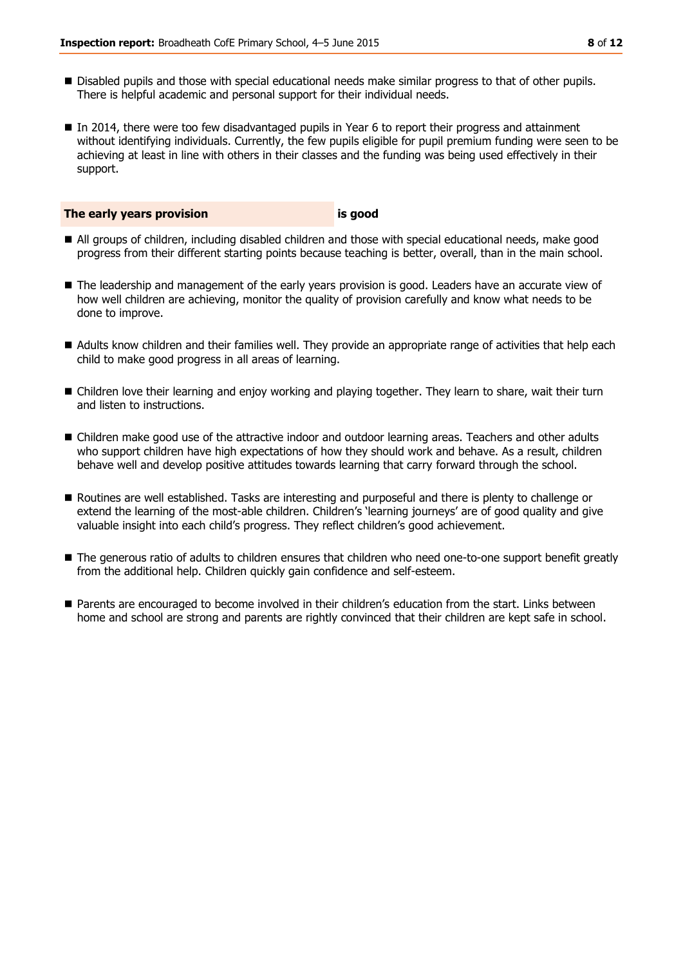- **Disabled pupils and those with special educational needs make similar progress to that of other pupils.** There is helpful academic and personal support for their individual needs.
- In 2014, there were too few disadvantaged pupils in Year 6 to report their progress and attainment without identifying individuals. Currently, the few pupils eligible for pupil premium funding were seen to be achieving at least in line with others in their classes and the funding was being used effectively in their support.

### **The early years provision is good**

- All groups of children, including disabled children and those with special educational needs, make good progress from their different starting points because teaching is better, overall, than in the main school.
- $\blacksquare$  The leadership and management of the early years provision is good. Leaders have an accurate view of how well children are achieving, monitor the quality of provision carefully and know what needs to be done to improve.
- Adults know children and their families well. They provide an appropriate range of activities that help each child to make good progress in all areas of learning.
- Children love their learning and enjoy working and playing together. They learn to share, wait their turn and listen to instructions.
- Children make good use of the attractive indoor and outdoor learning areas. Teachers and other adults who support children have high expectations of how they should work and behave. As a result, children behave well and develop positive attitudes towards learning that carry forward through the school.
- Routines are well established. Tasks are interesting and purposeful and there is plenty to challenge or extend the learning of the most-able children. Children's 'learning journeys' are of good quality and give valuable insight into each child's progress. They reflect children's good achievement.
- The generous ratio of adults to children ensures that children who need one-to-one support benefit greatly from the additional help. Children quickly gain confidence and self-esteem.
- Parents are encouraged to become involved in their children's education from the start. Links between home and school are strong and parents are rightly convinced that their children are kept safe in school.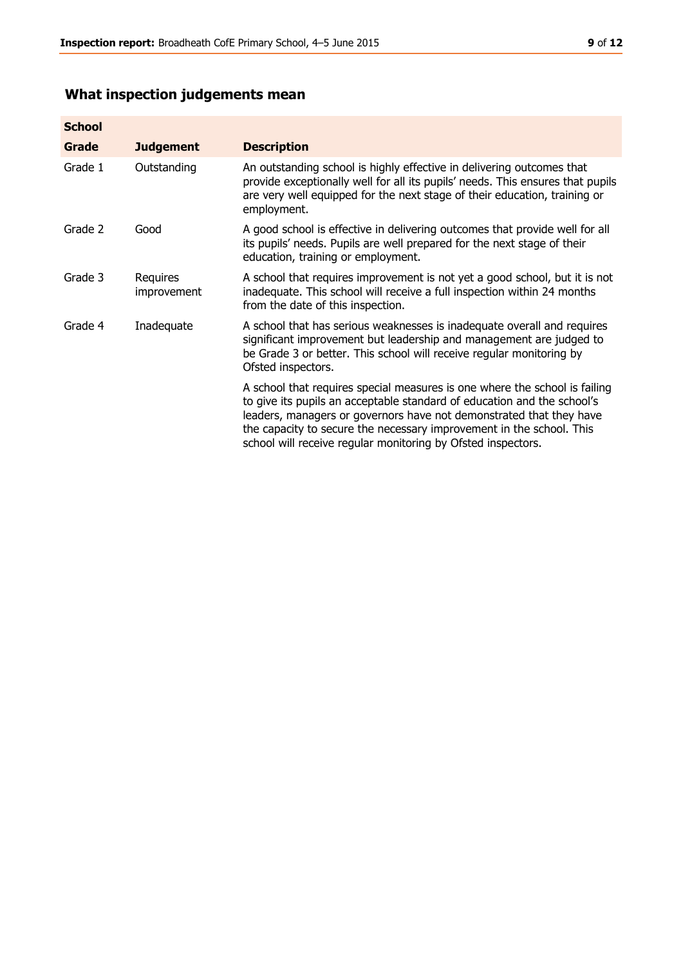# **What inspection judgements mean**

| <b>School</b> |                         |                                                                                                                                                                                                                                                                                                                                                                      |
|---------------|-------------------------|----------------------------------------------------------------------------------------------------------------------------------------------------------------------------------------------------------------------------------------------------------------------------------------------------------------------------------------------------------------------|
| Grade         | <b>Judgement</b>        | <b>Description</b>                                                                                                                                                                                                                                                                                                                                                   |
| Grade 1       | Outstanding             | An outstanding school is highly effective in delivering outcomes that<br>provide exceptionally well for all its pupils' needs. This ensures that pupils<br>are very well equipped for the next stage of their education, training or<br>employment.                                                                                                                  |
| Grade 2       | Good                    | A good school is effective in delivering outcomes that provide well for all<br>its pupils' needs. Pupils are well prepared for the next stage of their<br>education, training or employment.                                                                                                                                                                         |
| Grade 3       | Requires<br>improvement | A school that requires improvement is not yet a good school, but it is not<br>inadequate. This school will receive a full inspection within 24 months<br>from the date of this inspection.                                                                                                                                                                           |
| Grade 4       | Inadequate              | A school that has serious weaknesses is inadequate overall and requires<br>significant improvement but leadership and management are judged to<br>be Grade 3 or better. This school will receive regular monitoring by<br>Ofsted inspectors.                                                                                                                         |
|               |                         | A school that requires special measures is one where the school is failing<br>to give its pupils an acceptable standard of education and the school's<br>leaders, managers or governors have not demonstrated that they have<br>the capacity to secure the necessary improvement in the school. This<br>school will receive regular monitoring by Ofsted inspectors. |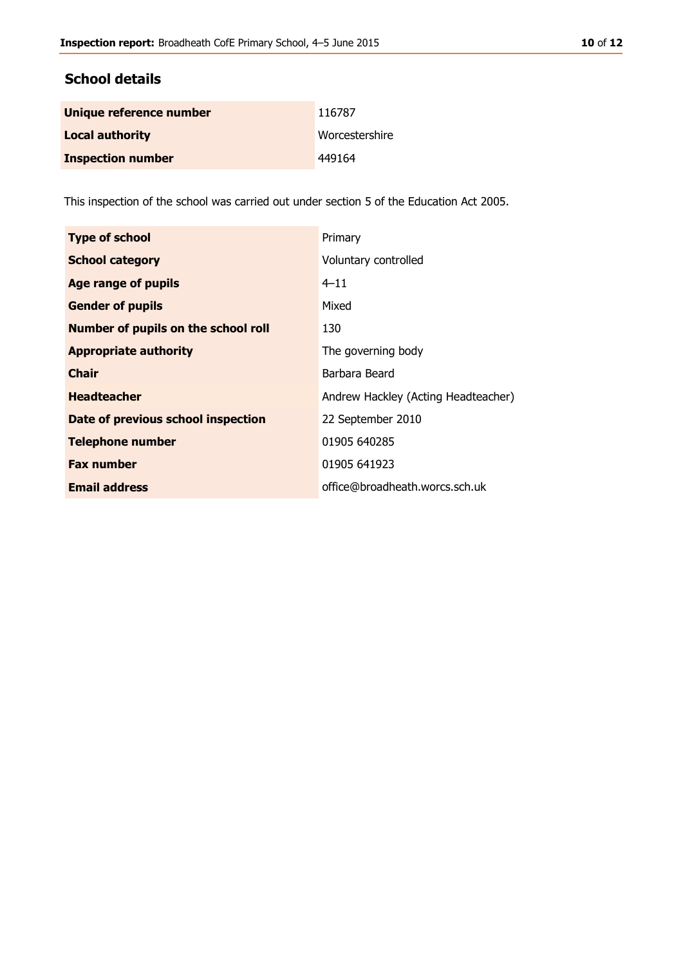# **School details**

| Unique reference number  | 116787         |
|--------------------------|----------------|
| <b>Local authority</b>   | Worcestershire |
| <b>Inspection number</b> | 449164         |

This inspection of the school was carried out under section 5 of the Education Act 2005.

| <b>Type of school</b>                      | Primary                             |
|--------------------------------------------|-------------------------------------|
| <b>School category</b>                     | Voluntary controlled                |
| Age range of pupils                        | $4 - 11$                            |
| <b>Gender of pupils</b>                    | Mixed                               |
| <b>Number of pupils on the school roll</b> | 130                                 |
| <b>Appropriate authority</b>               | The governing body                  |
| <b>Chair</b>                               | Barbara Beard                       |
| <b>Headteacher</b>                         | Andrew Hackley (Acting Headteacher) |
| Date of previous school inspection         | 22 September 2010                   |
| <b>Telephone number</b>                    | 01905 640285                        |
| <b>Fax number</b>                          | 01905 641923                        |
| <b>Email address</b>                       | office@broadheath.worcs.sch.uk      |